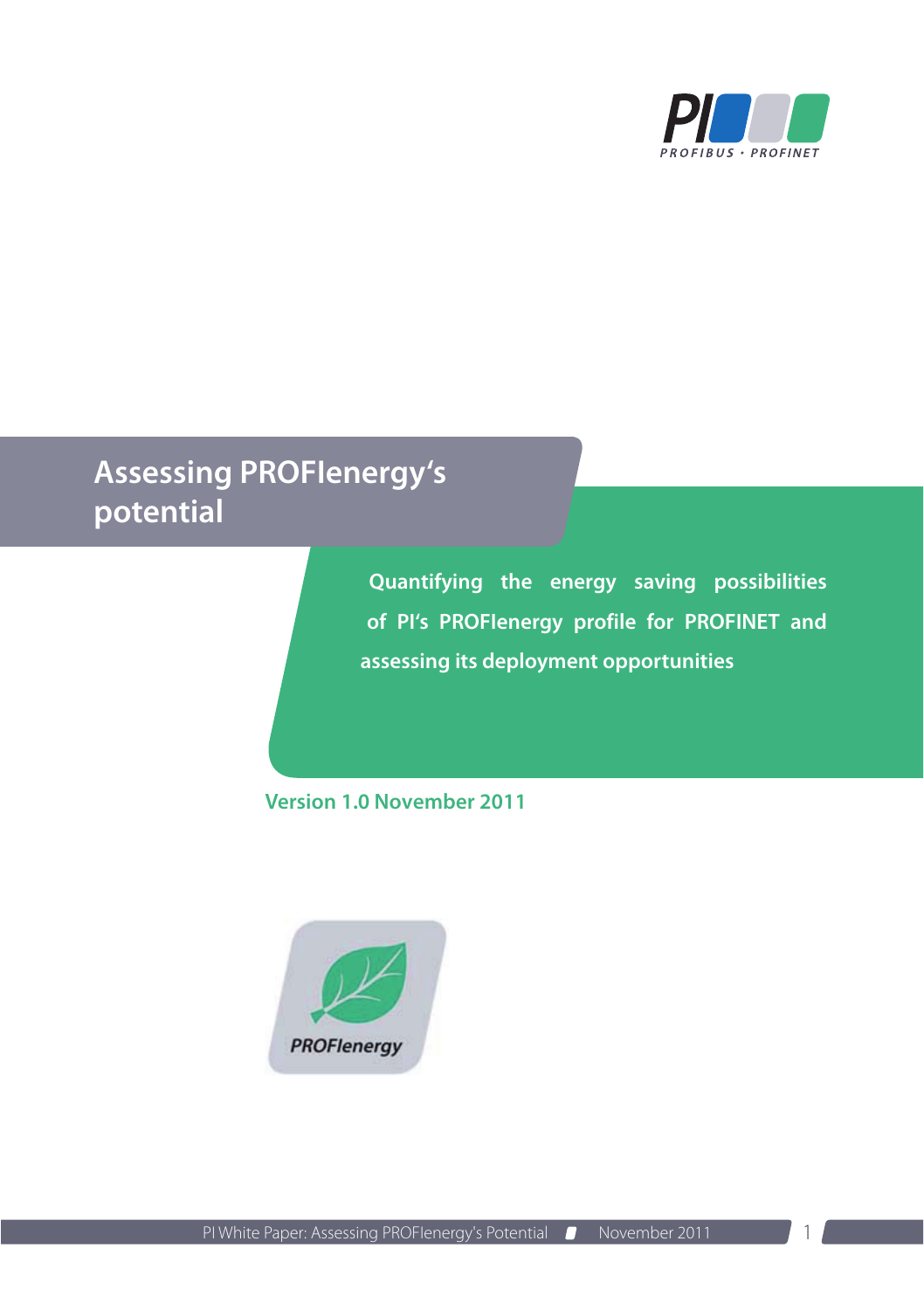

# **Assessing PROFIenergy's potential**

**Quantifying the energy saving possibilities of PI's PROFIenergy profile for PROFINET and assessing its deployment opportunities**

**Version 1.0 November 2011**

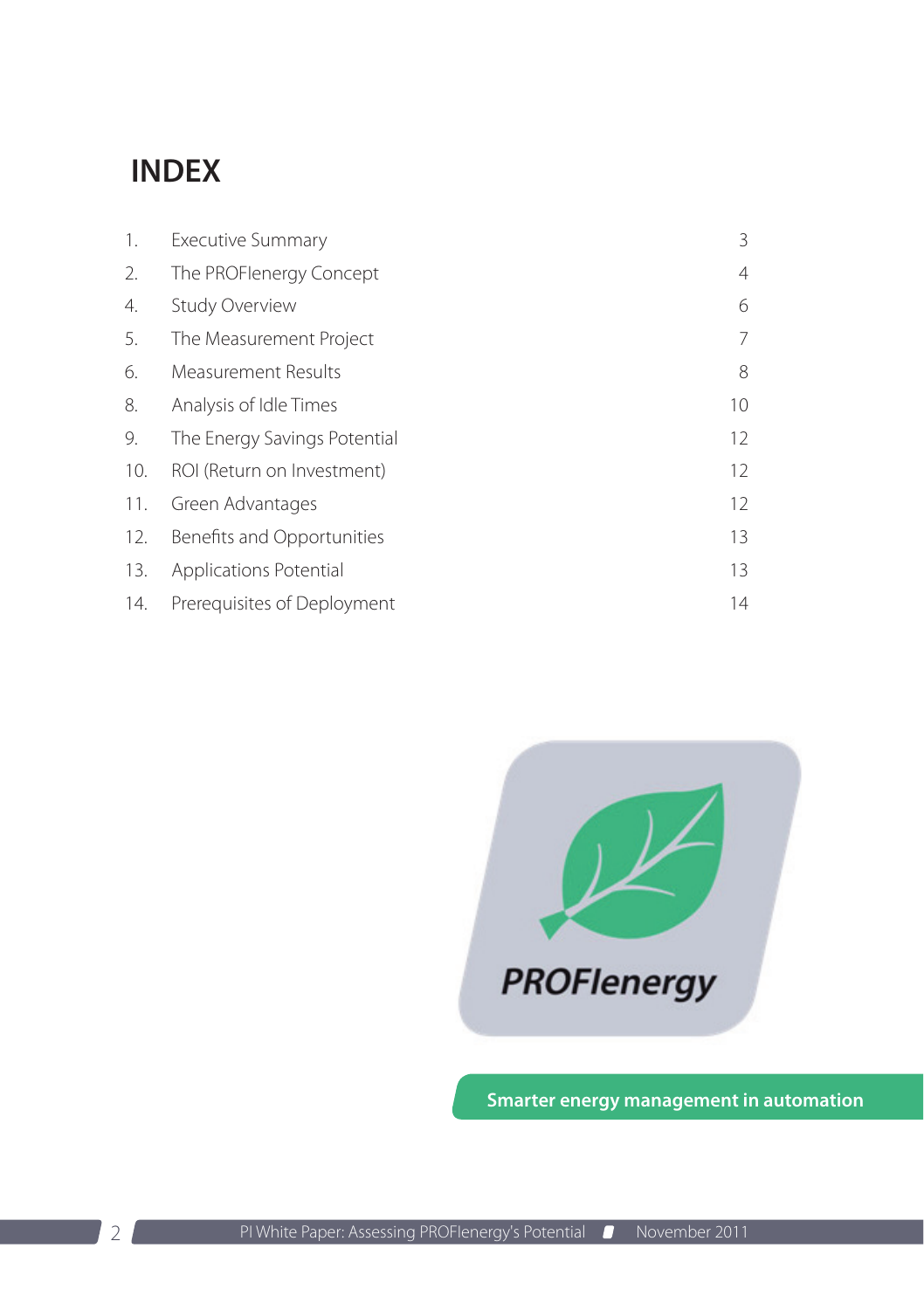### **INDEX**

| 1.  | <b>Executive Summary</b>     | 3              |
|-----|------------------------------|----------------|
| 2.  | The PROFlenergy Concept      | $\overline{4}$ |
| 4.  | <b>Study Overview</b>        | 6              |
| 5.  | The Measurement Project      | 7              |
| 6.  | <b>Measurement Results</b>   | 8              |
| 8.  | Analysis of Idle Times       | 10             |
| 9.  | The Energy Savings Potential | 12             |
| 10. | ROI (Return on Investment)   | 12             |
| 11. | Green Advantages             | 12             |
| 12. | Benefits and Opportunities   | 13             |
| 13. | Applications Potential       | 13             |
| 14. | Prerequisites of Deployment  | 14             |



**Smarter energy management in automation**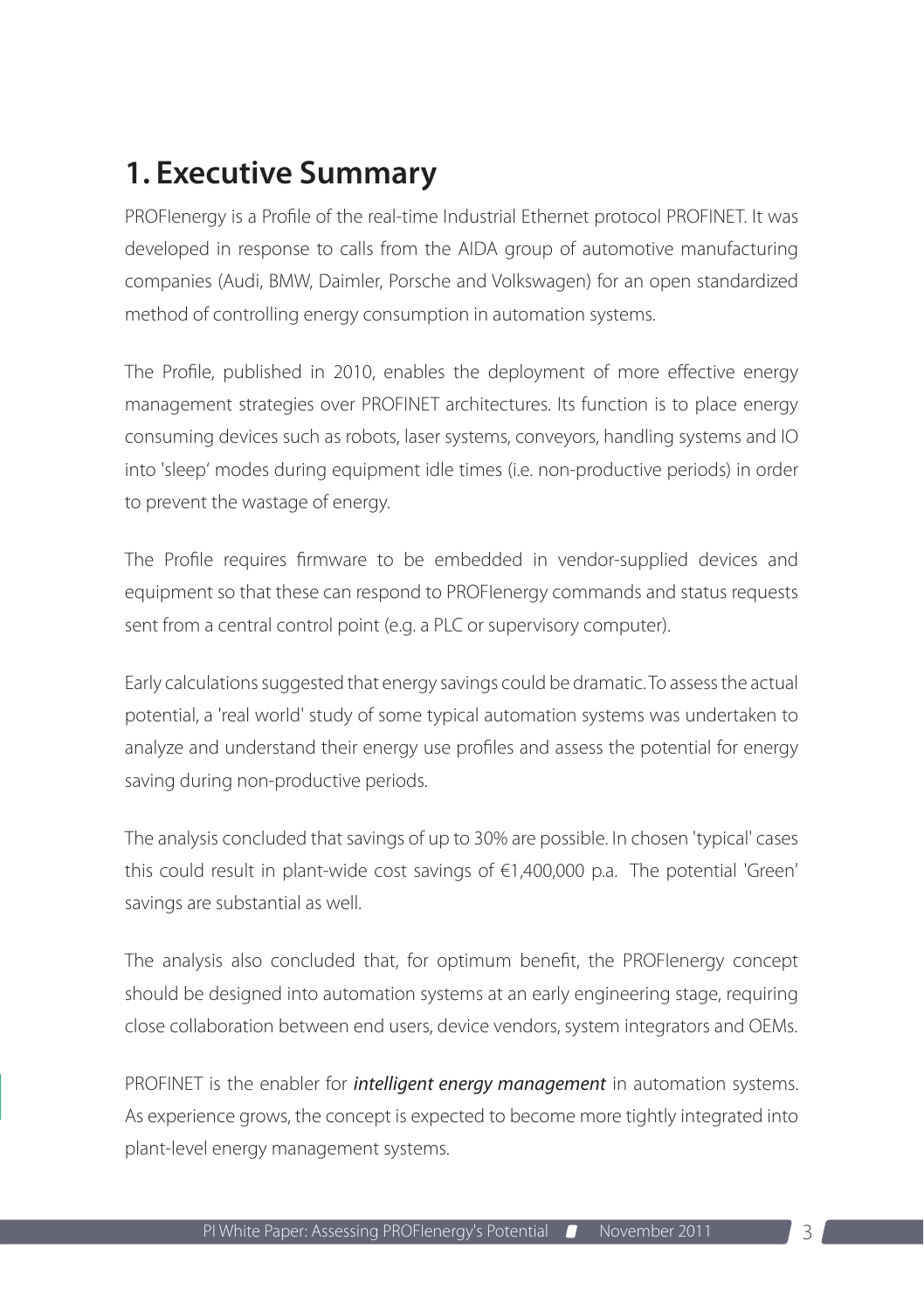### <span id="page-2-0"></span>**1. Executive Summary**

PROFIenergy is a Profile of the real-time Industrial Ethernet protocol PROFINET. It was developed in response to calls from the AIDA group of automotive manufacturing companies (Audi, BMW, Daimler, Porsche and Volkswagen) for an open standardized method of controlling energy consumption in automation systems.

The Profile, published in 2010, enables the deployment of more effective energy management strategies over PROFINET architectures. Its function is to place energy consuming devices such as robots, laser systems, conveyors, handling systems and IO into 'sleep' modes during equipment idle times (i.e. non-productive periods) in order to prevent the wastage of energy.

The Profile requires firmware to be embedded in vendor-supplied devices and equipment so that these can respond to PROFIenergy commands and status requests sent from a central control point (e.g. a PLC or supervisory computer).

Early calculations suggested that energy savings could be dramatic. To assess the actual potential, a 'real world' study of some typical automation systems was undertaken to analyze and understand their energy use profiles and assess the potential for energy saving during non-productive periods.

The analysis concluded that savings of up to 30% are possible. In chosen 'typical' cases this could result in plant-wide cost savings of €1,400,000 p.a. The potential 'Green' savings are substantial as well.

The analysis also concluded that, for optimum benefit, the PROFIenergy concept should be designed into automation systems at an early engineering stage, requiring close collaboration between end users, device vendors, system integrators and OEMs.

PROFINET is the enabler for *intelligent energy management* in automation systems. As experience grows, the concept is expected to become more tightly integrated into plant-level energy management systems.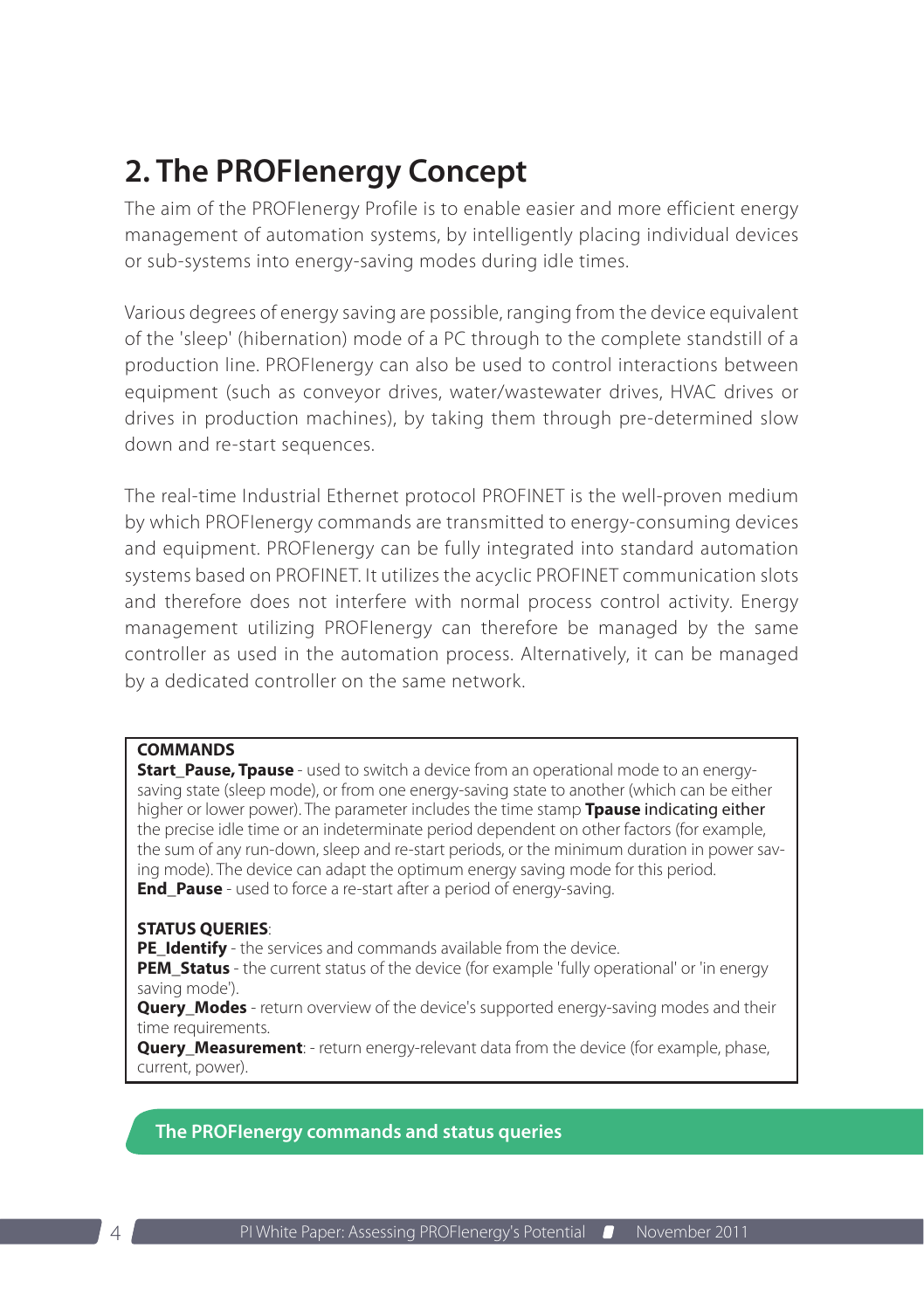# <span id="page-3-0"></span>**2. The PROFIenergy Concept**

The aim of the PROFIenergy Profile is to enable easier and more efficient energy management of automation systems, by intelligently placing individual devices or sub-systems into energy-saving modes during idle times.

Various degrees of energy saving are possible, ranging from the device equivalent of the 'sleep' (hibernation) mode of a PC through to the complete standstill of a production line. PROFIenergy can also be used to control interactions between equipment (such as conveyor drives, water/wastewater drives, HVAC drives or drives in production machines), by taking them through pre-determined slow down and re-start sequences.

The real-time Industrial Ethernet protocol PROFINET is the well-proven medium by which PROFIenergy commands are transmitted to energy-consuming devices and equipment. PROFIenergy can be fully integrated into standard automation systems based on PROFINET. It utilizes the acyclic PROFINET communication slots and therefore does not interfere with normal process control activity. Energy management utilizing PROFIenergy can therefore be managed by the same controller as used in the automation process. Alternatively, it can be managed by a dedicated controller on the same network.

### **COMMANDS**

**Start Pause, Tpause** - used to switch a device from an operational mode to an energysaving state (sleep mode), or from one energy-saving state to another (which can be either higher or lower power). The parameter includes the time stamp **Tpause** indicating either the precise idle time or an indeterminate period dependent on other factors (for example, the sum of any run-down, sleep and re-start periods, or the minimum duration in power saving mode). The device can adapt the optimum energy saving mode for this period. **End Pause** - used to force a re-start after a period of energy-saving.

#### **STATUS QUERIES**:

**PE\_Identify** - the services and commands available from the device.

**PEM\_Status** - the current status of the device (for example 'fully operational' or 'in energy saving mode').

**Query\_Modes** - return overview of the device's supported energy-saving modes and their time requirements.

**Query Measurement**: - return energy-relevant data from the device (for example, phase, current, power).

**The PROFIenergy commands and status queries**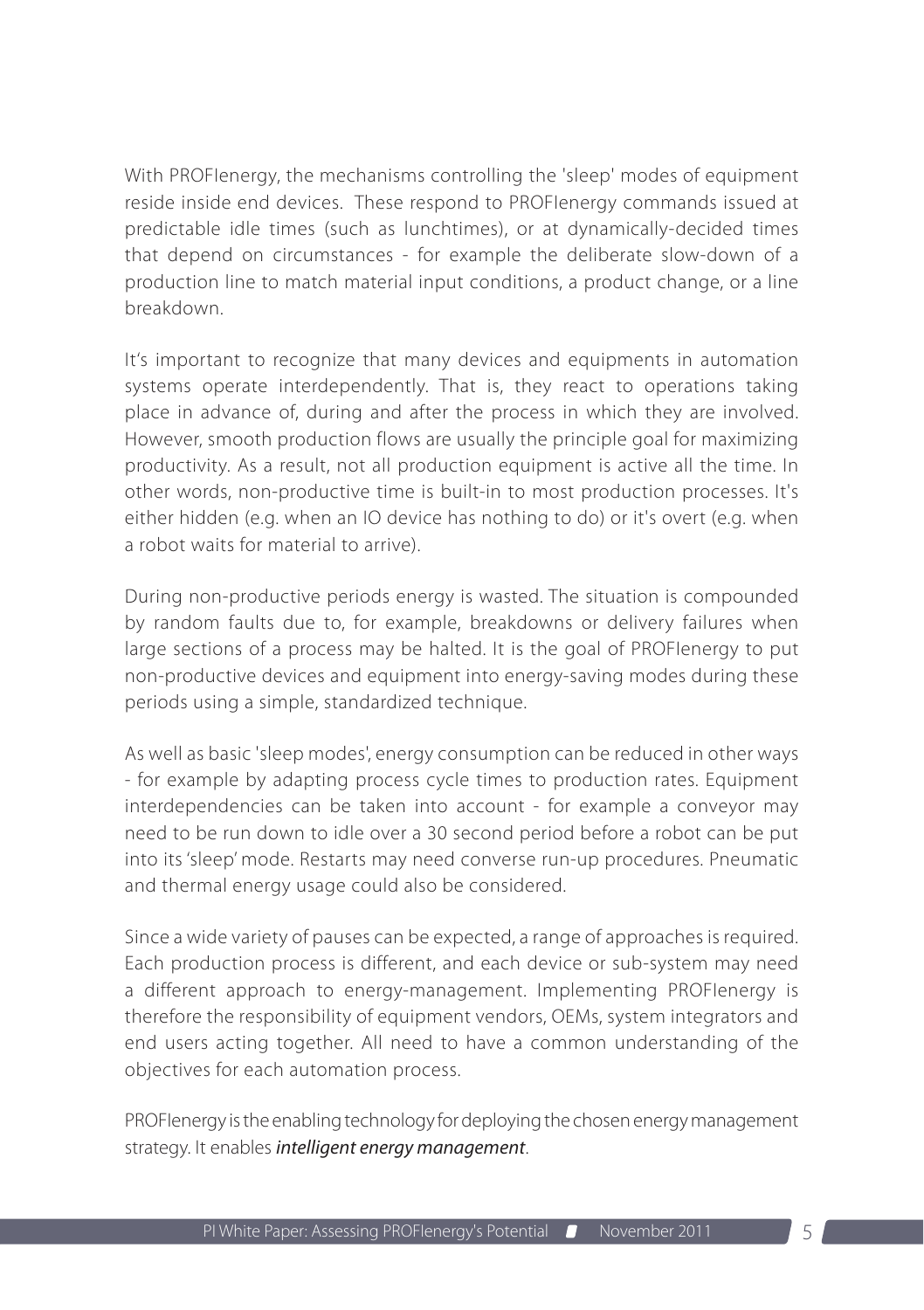With PROFIenergy, the mechanisms controlling the 'sleep' modes of equipment reside inside end devices. These respond to PROFIenergy commands issued at predictable idle times (such as lunchtimes), or at dynamically-decided times that depend on circumstances - for example the deliberate slow-down of a production line to match material input conditions, a product change, or a line breakdown.

It's important to recognize that many devices and equipments in automation systems operate interdependently. That is, they react to operations taking place in advance of, during and after the process in which they are involved. However, smooth production flows are usually the principle goal for maximizing productivity. As a result, not all production equipment is active all the time. In other words, non-productive time is built-in to most production processes. It's either hidden (e.g. when an IO device has nothing to do) or it's overt (e.g. when a robot waits for material to arrive).

During non-productive periods energy is wasted. The situation is compounded by random faults due to, for example, breakdowns or delivery failures when large sections of a process may be halted. It is the goal of PROFIenergy to put non-productive devices and equipment into energy-saving modes during these periods using a simple, standardized technique.

As well as basic 'sleep modes', energy consumption can be reduced in other ways - for example by adapting process cycle times to production rates. Equipment interdependencies can be taken into account - for example a conveyor may need to be run down to idle over a 30 second period before a robot can be put into its 'sleep' mode. Restarts may need converse run-up procedures. Pneumatic and thermal energy usage could also be considered.

Since a wide variety of pauses can be expected, a range of approaches is required. Each production process is different, and each device or sub-system may need a different approach to energy-management. Implementing PROFIenergy is therefore the responsibility of equipment vendors, OEMs, system integrators and end users acting together. All need to have a common understanding of the objectives for each automation process.

PROFIenergy is the enabling technology for deploying the chosen energy management strategy. It enables *intelligent energy management*.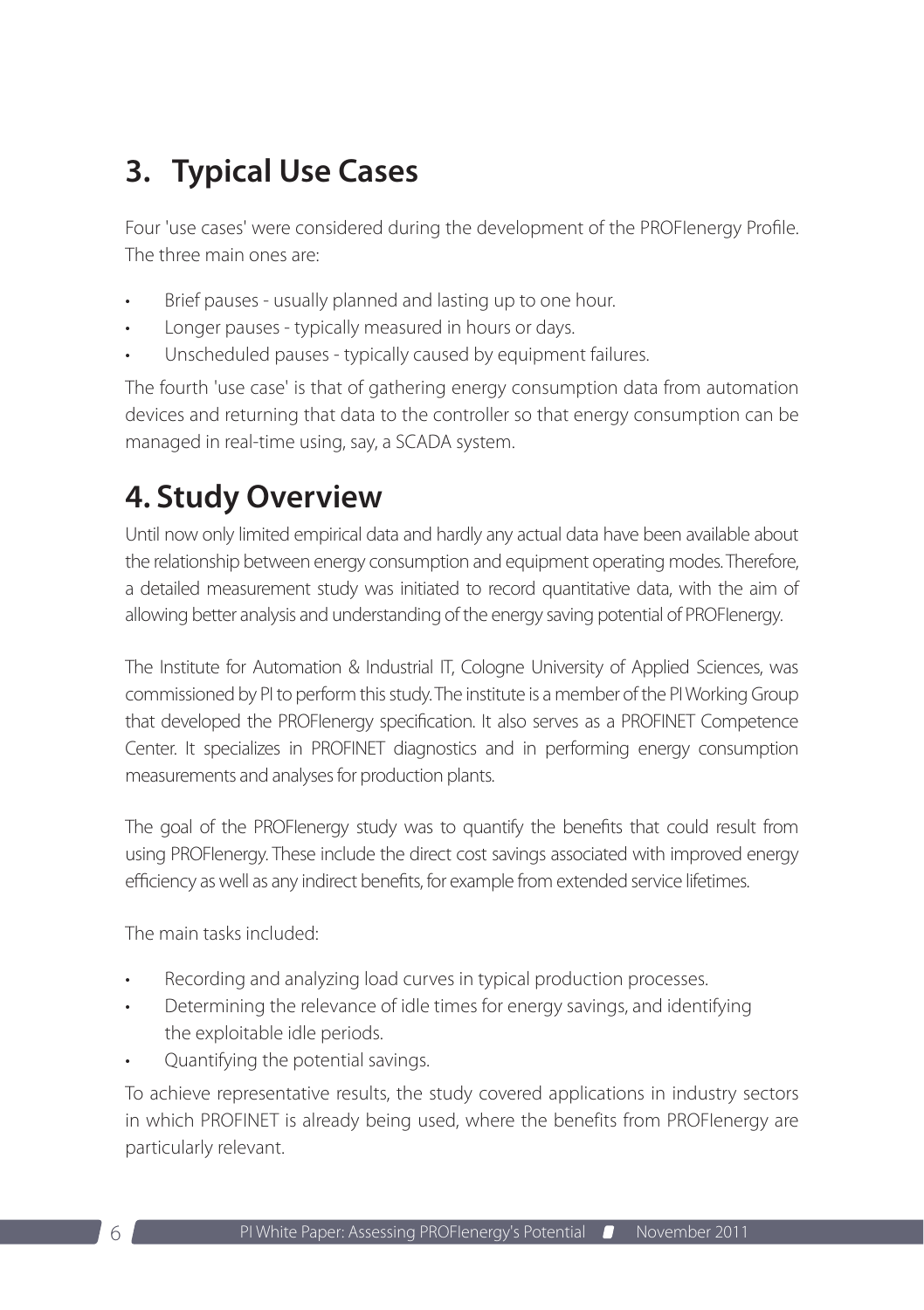## <span id="page-5-0"></span>**3. Typical Use Cases**

Four 'use cases' were considered during the development of the PROFIenergy Profile. The three main ones are:

- Brief pauses usually planned and lasting up to one hour.
- Longer pauses typically measured in hours or days.
- Unscheduled pauses typically caused by equipment failures.

The fourth 'use case' is that of gathering energy consumption data from automation devices and returning that data to the controller so that energy consumption can be managed in real-time using, say, a SCADA system.

### **4. Study Overview**

Until now only limited empirical data and hardly any actual data have been available about the relationship between energy consumption and equipment operating modes. Therefore, a detailed measurement study was initiated to record quantitative data, with the aim of allowing better analysis and understanding of the energy saving potential of PROFIenergy.

The Institute for Automation & Industrial IT, Cologne University of Applied Sciences, was commissioned by PI to perform this study. The institute is a member of the PI Working Group that developed the PROFIenergy specification. It also serves as a PROFINET Competence Center. It specializes in PROFINET diagnostics and in performing energy consumption measurements and analyses for production plants.

The goal of the PROFIenergy study was to quantify the benefits that could result from using PROFIenergy. These include the direct cost savings associated with improved energy efficiency as well as any indirect benefits, for example from extended service lifetimes.

The main tasks included:

- Recording and analyzing load curves in typical production processes.
- Determining the relevance of idle times for energy savings, and identifying the exploitable idle periods.
- Quantifying the potential savings.

To achieve representative results, the study covered applications in industry sectors in which PROFINET is already being used, where the benefits from PROFIenergy are particularly relevant.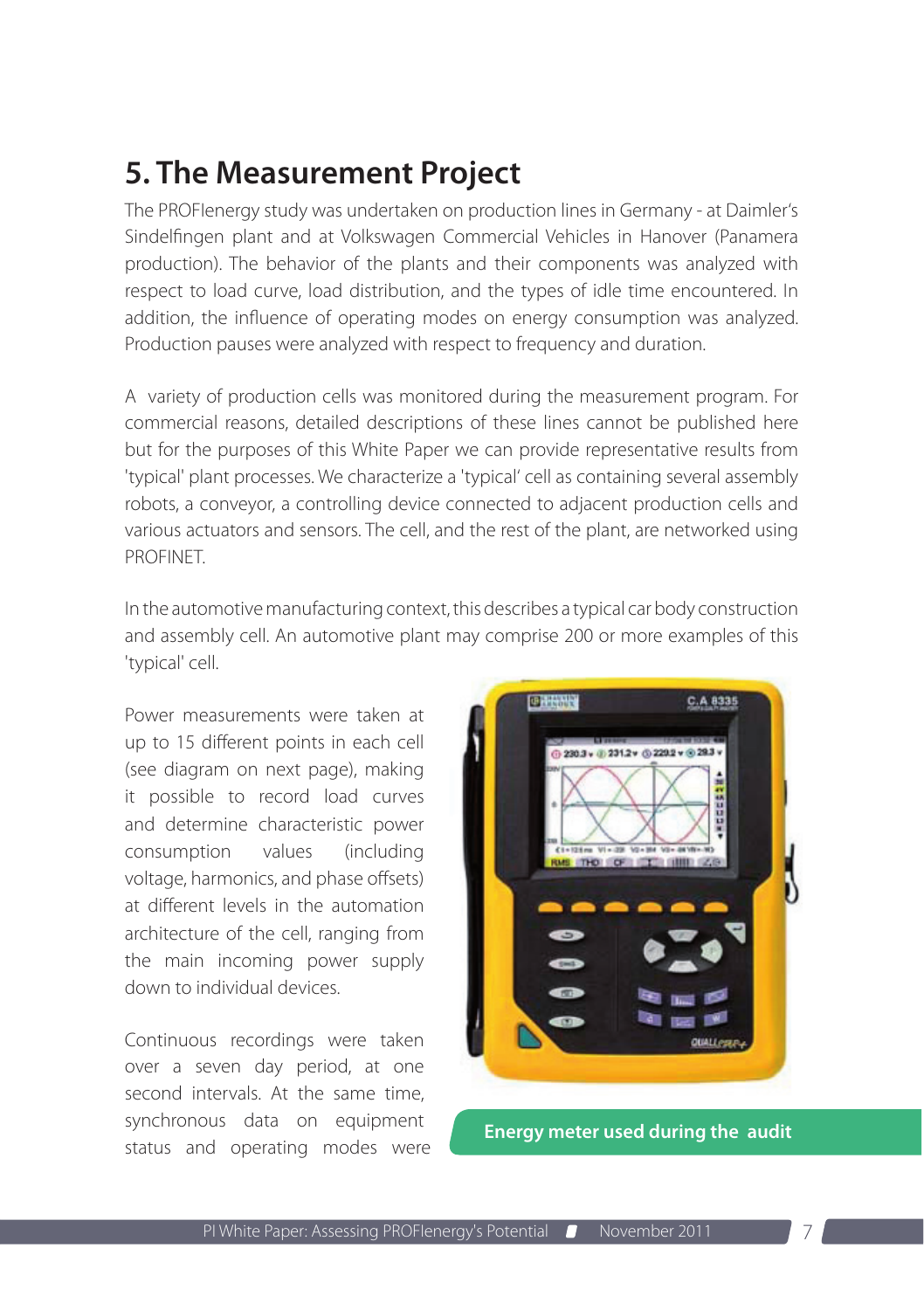### <span id="page-6-0"></span>**5. The Measurement Project**

The PROFIenergy study was undertaken on production lines in Germany - at Daimler's Sindelfingen plant and at Volkswagen Commercial Vehicles in Hanover (Panamera production). The behavior of the plants and their components was analyzed with respect to load curve, load distribution, and the types of idle time encountered. In addition, the influence of operating modes on energy consumption was analyzed. Production pauses were analyzed with respect to frequency and duration.

A variety of production cells was monitored during the measurement program. For commercial reasons, detailed descriptions of these lines cannot be published here but for the purposes of this White Paper we can provide representative results from 'typical' plant processes. We characterize a 'typical' cell as containing several assembly robots, a conveyor, a controlling device connected to adjacent production cells and various actuators and sensors. The cell, and the rest of the plant, are networked using PROFINET.

In the automotive manufacturing context, this describes a typical car body construction and assembly cell. An automotive plant may comprise 200 or more examples of this 'typical' cell.

Power measurements were taken at up to 15 different points in each cell (see diagram on next page), making it possible to record load curves and determine characteristic power consumption values (including voltage, harmonics, and phase offsets) at different levels in the automation architecture of the cell, ranging from the main incoming power supply down to individual devices.

Continuous recordings were taken over a seven day period, at one second intervals. At the same time, synchronous data on equipment syncritonous data on equipment<br>status and operating modes were

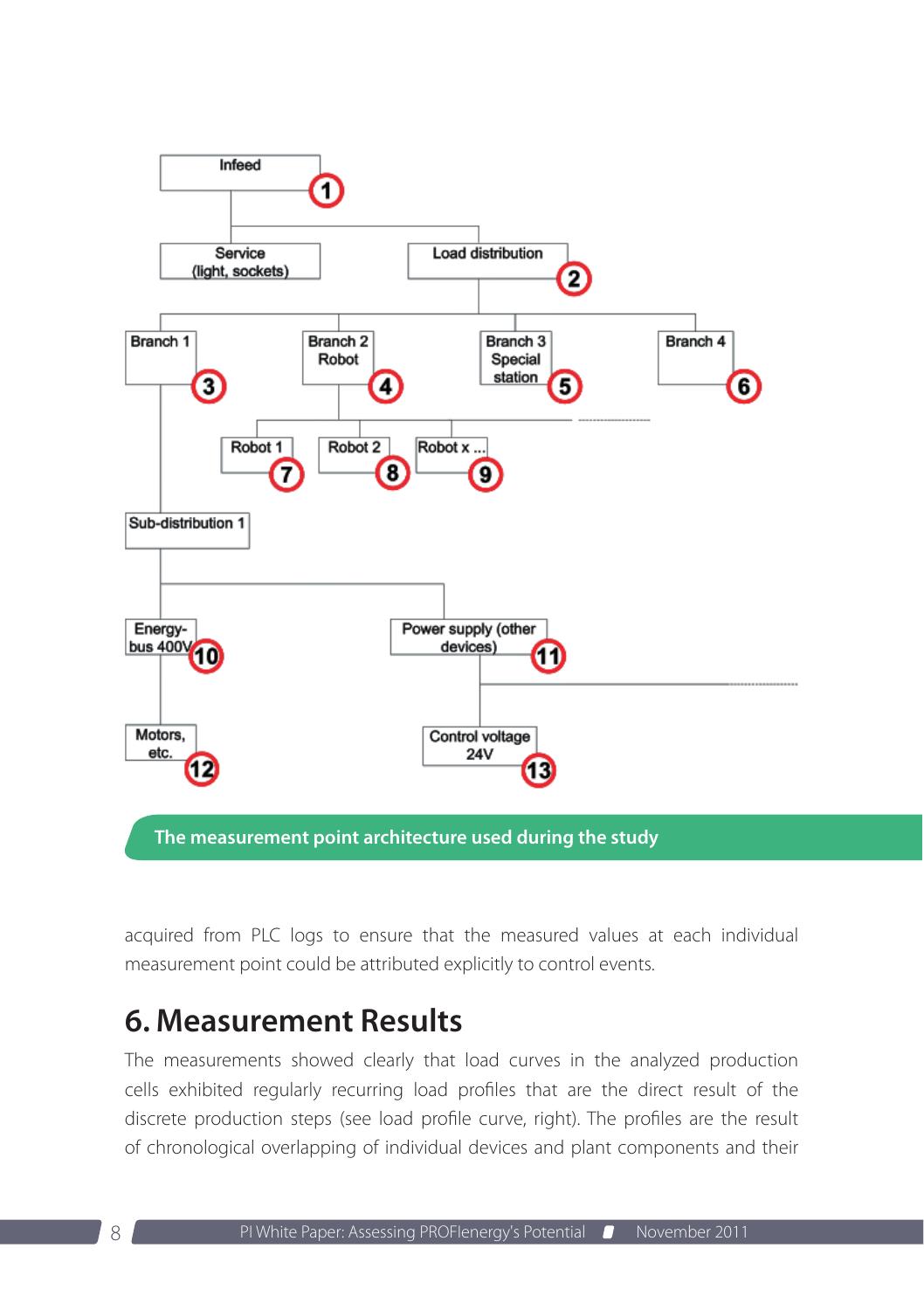<span id="page-7-0"></span>

**The measurement point architecture used during the study**

acquired from PLC logs to ensure that the measured values at each individual measurement point could be attributed explicitly to control events.

### **6. Measurement Results**

The measurements showed clearly that load curves in the analyzed production cells exhibited regularly recurring load profiles that are the direct result of the discrete production steps (see load profile curve, right). The profiles are the result of chronological overlapping of individual devices and plant components and their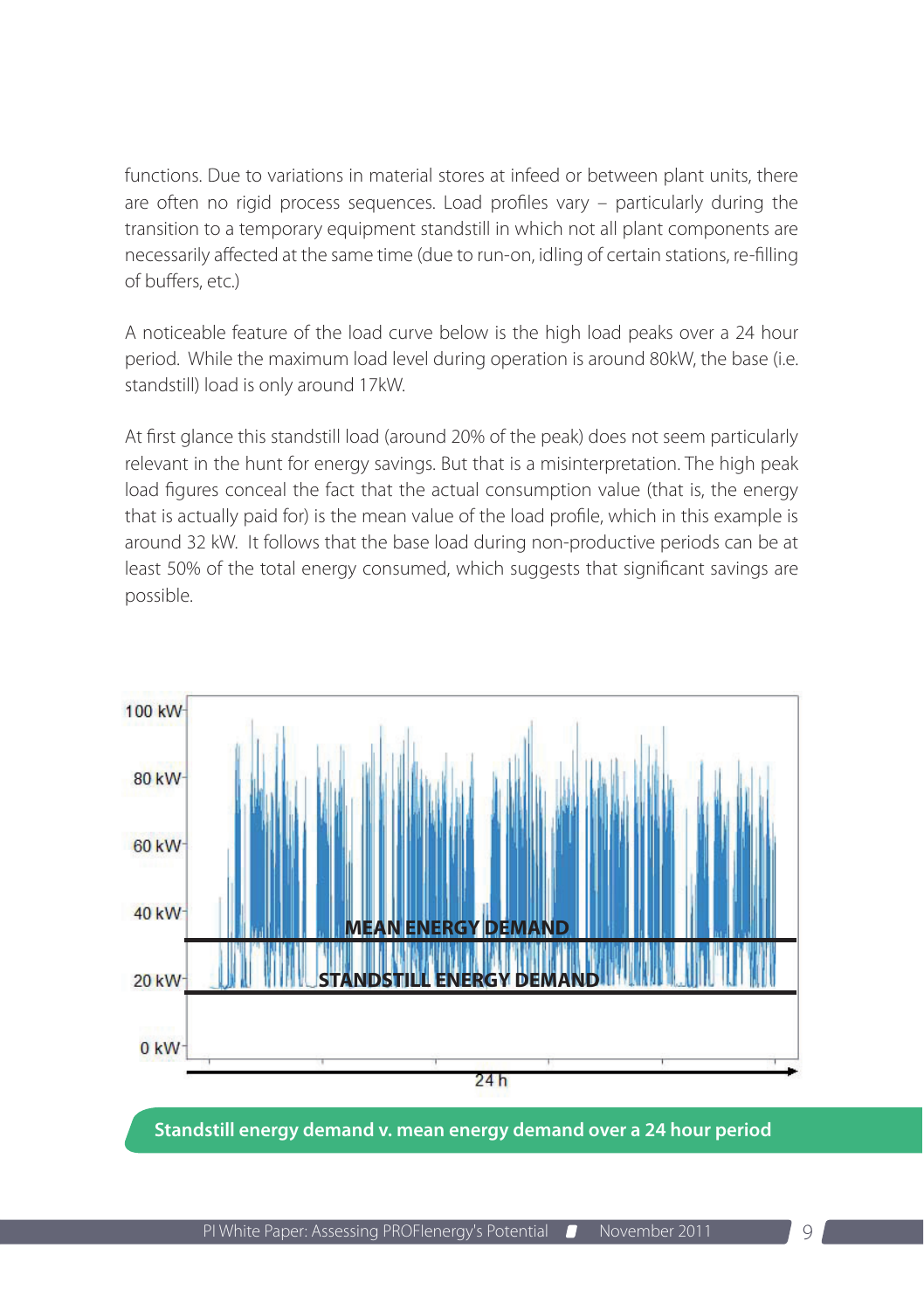functions. Due to variations in material stores at infeed or between plant units, there are often no rigid process sequences. Load profiles vary – particularly during the transition to a temporary equipment standstill in which not all plant components are necessarily affected at the same time (due to run-on, idling of certain stations, re-filling of buffers, etc.)

A noticeable feature of the load curve below is the high load peaks over a 24 hour period. While the maximum load level during operation is around 80kW, the base (i.e. standstill) load is only around 17kW.

At first glance this standstill load (around 20% of the peak) does not seem particularly relevant in the hunt for energy savings. But that is a misinterpretation. The high peak load figures conceal the fact that the actual consumption value (that is, the energy that is actually paid for) is the mean value of the load profile, which in this example is around 32 kW. It follows that the base load during non-productive periods can be at least 50% of the total energy consumed, which suggests that significant savings are possible.



**Standstill energy demand v. mean energy demand over a 24 hour period**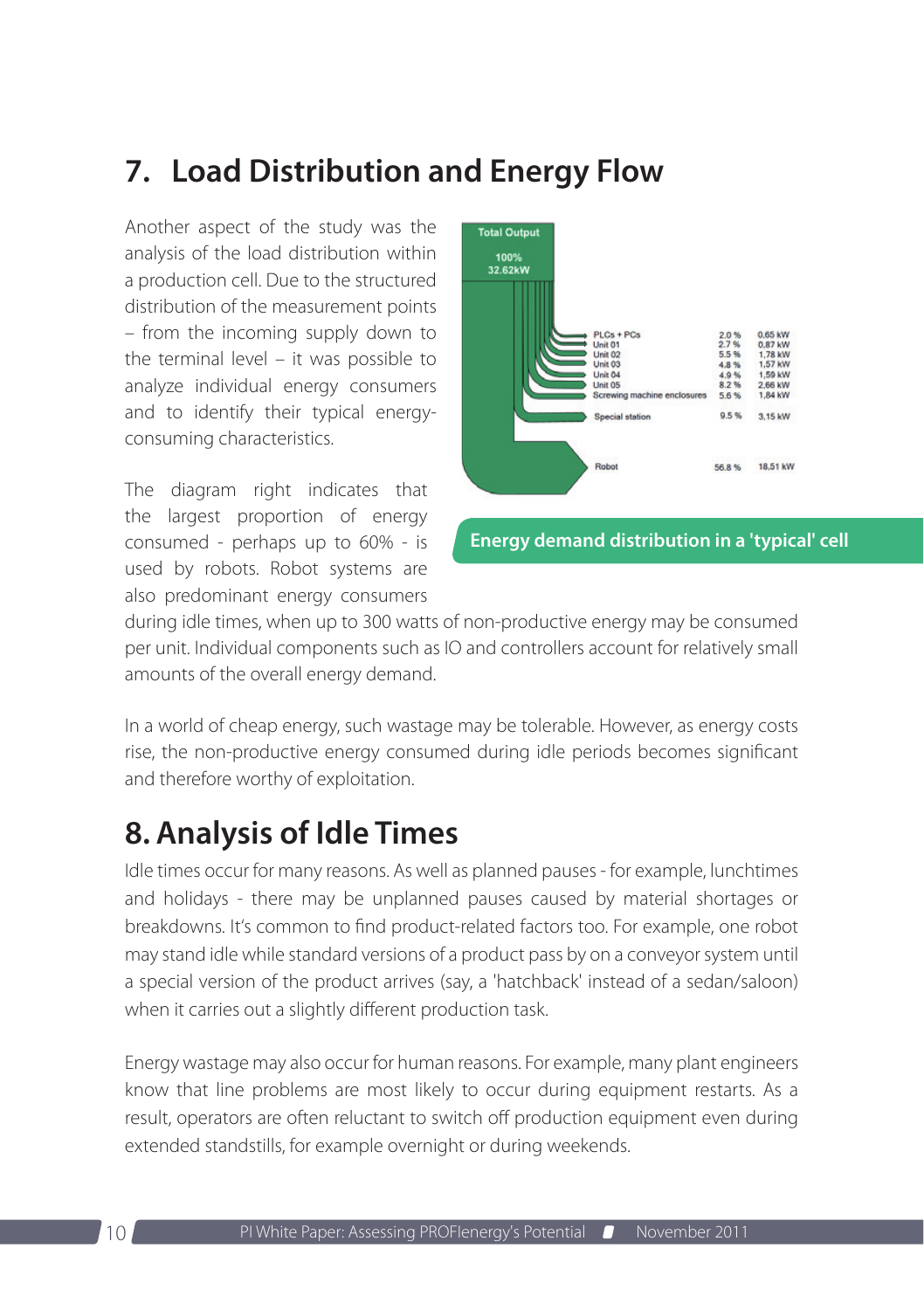### <span id="page-9-0"></span>**7. Load Distribution and Energy Flow**

Another aspect of the study was the analysis of the load distribution within a production cell. Due to the structured distribution of the measurement points – from the incoming supply down to the terminal level – it was possible to analyze individual energy consumers and to identify their typical energyconsuming characteristics.

The diagram right indicates that the largest proportion of energy consumed - perhaps up to 60% - is used by robots. Robot systems are also predominant energy consumers



during idle times, when up to 300 watts of non-productive energy may be consumed per unit. Individual components such as IO and controllers account for relatively small amounts of the overall energy demand.

In a world of cheap energy, such wastage may be tolerable. However, as energy costs rise, the non-productive energy consumed during idle periods becomes significant and therefore worthy of exploitation.

### **8. Analysis of Idle Times**

Idle times occur for many reasons. As well as planned pauses - for example, lunchtimes and holidays - there may be unplanned pauses caused by material shortages or breakdowns. It's common to find product-related factors too. For example, one robot may stand idle while standard versions of a product pass by on a conveyor system until a special version of the product arrives (say, a 'hatchback' instead of a sedan/saloon) when it carries out a slightly different production task.

Energy wastage may also occur for human reasons. For example, many plant engineers know that line problems are most likely to occur during equipment restarts. As a result, operators are often reluctant to switch off production equipment even during extended standstills, for example overnight or during weekends.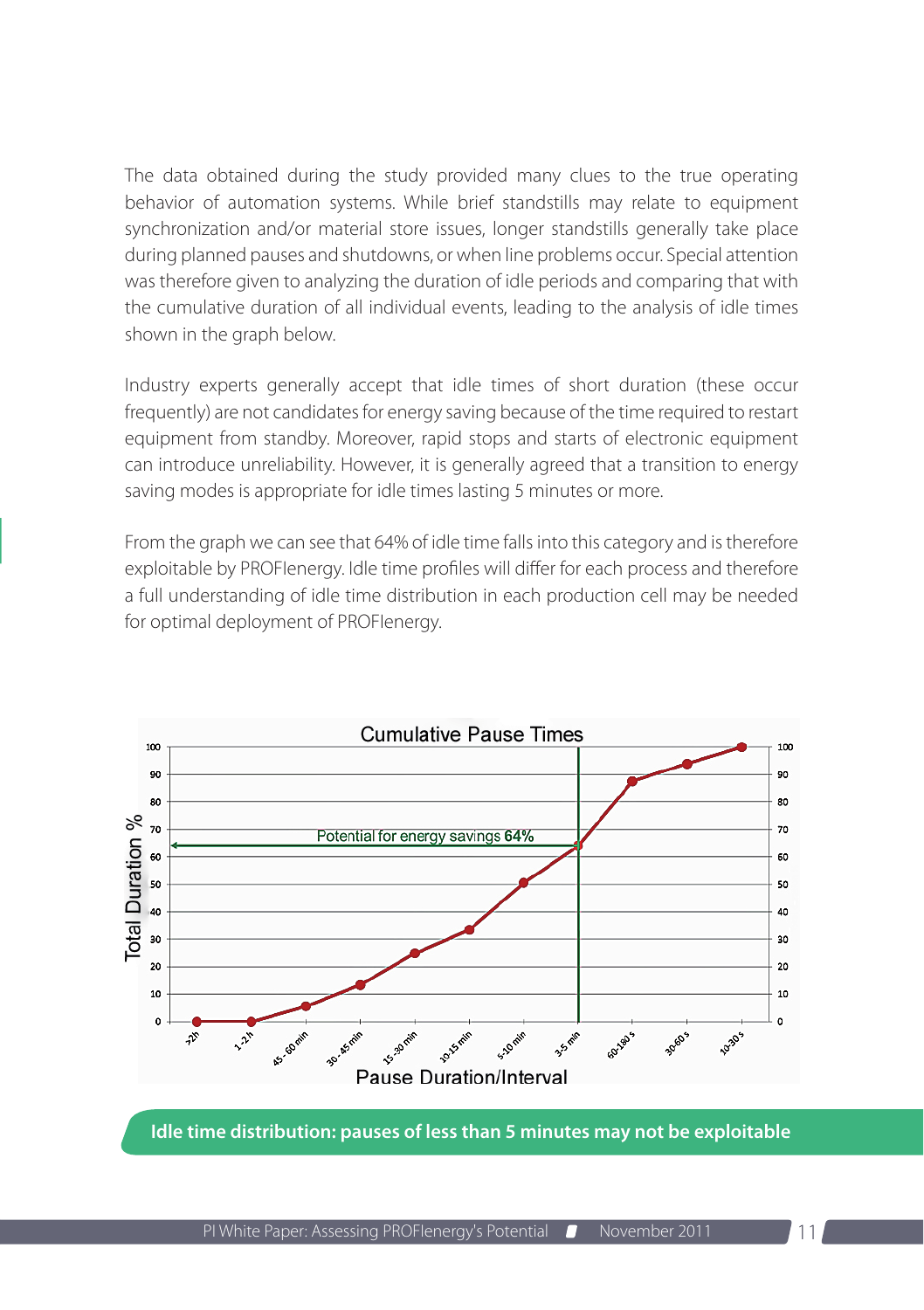The data obtained during the study provided many clues to the true operating behavior of automation systems. While brief standstills may relate to equipment synchronization and/or material store issues, longer standstills generally take place during planned pauses and shutdowns, or when line problems occur. Special attention was therefore given to analyzing the duration of idle periods and comparing that with the cumulative duration of all individual events, leading to the analysis of idle times shown in the graph below.

Industry experts generally accept that idle times of short duration (these occur frequently) are not candidates for energy saving because of the time required to restart equipment from standby. Moreover, rapid stops and starts of electronic equipment can introduce unreliability. However, it is generally agreed that a transition to energy saving modes is appropriate for idle times lasting 5 minutes or more.

From the graph we can see that 64% of idle time falls into this category and is therefore exploitable by PROFIenergy. Idle time profiles will differ for each process and therefore a full understanding of idle time distribution in each production cell may be needed for optimal deployment of PROFIenergy.



**Idle time distribution: pauses of less than 5 minutes may not be exploitable**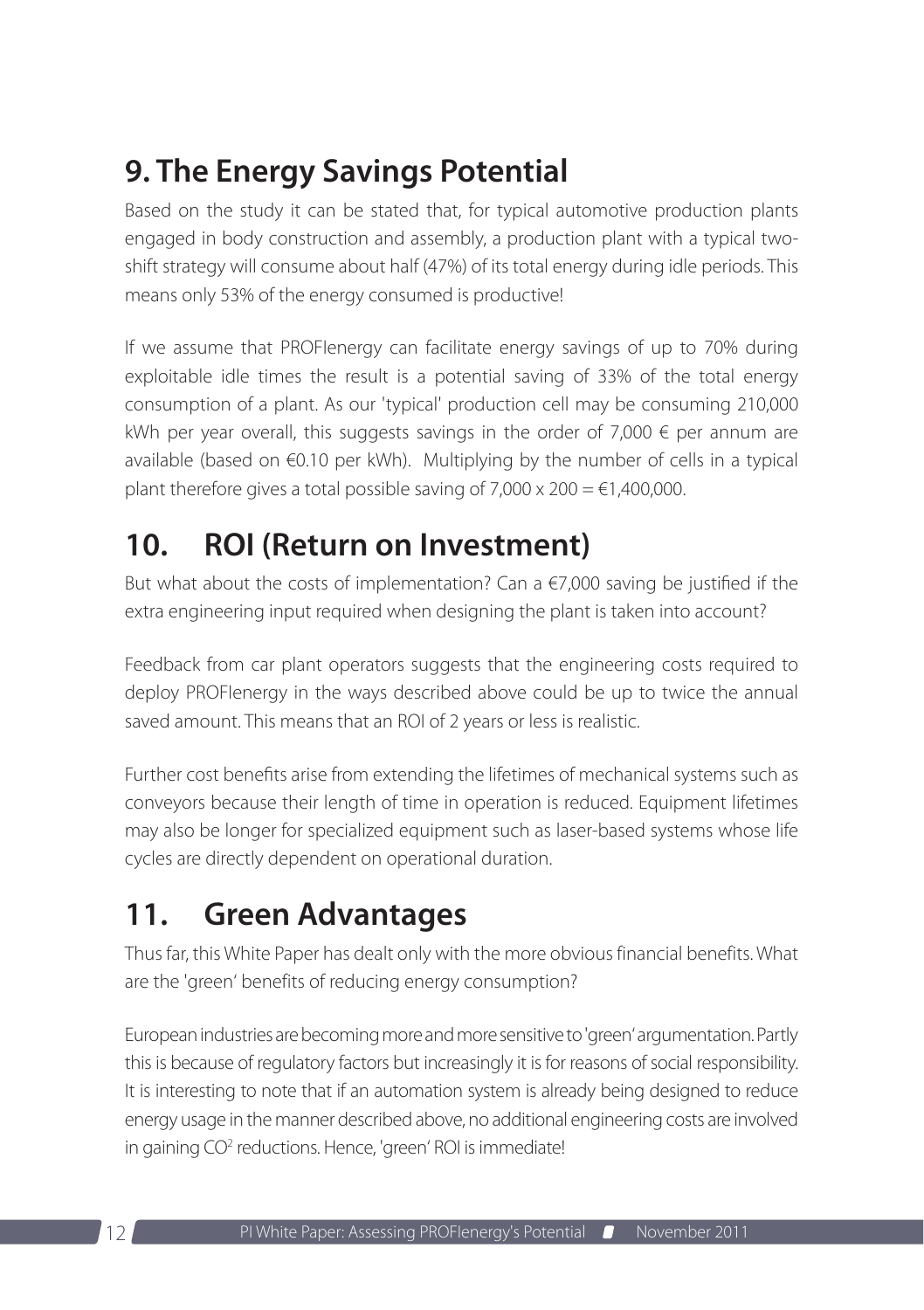# <span id="page-11-0"></span>**9. The Energy Savings Potential**

Based on the study it can be stated that, for typical automotive production plants engaged in body construction and assembly, a production plant with a typical twoshift strategy will consume about half (47%) of its total energy during idle periods. This means only 53% of the energy consumed is productive!

If we assume that PROFIenergy can facilitate energy savings of up to 70% during exploitable idle times the result is a potential saving of 33% of the total energy consumption of a plant. As our 'typical' production cell may be consuming 210,000 kWh per year overall, this suggests savings in the order of 7,000  $\epsilon$  per annum are available (based on €0.10 per kWh). Multiplying by the number of cells in a typical plant therefore gives a total possible saving of  $7,000 \times 200 = 1,400,000$ .

# **10. ROI (Return on Investment)**

But what about the costs of implementation? Can a  $\epsilon$ 7,000 saving be justified if the extra engineering input required when designing the plant is taken into account?

Feedback from car plant operators suggests that the engineering costs required to deploy PROFIenergy in the ways described above could be up to twice the annual saved amount. This means that an ROI of 2 years or less is realistic.

Further cost benefits arise from extending the lifetimes of mechanical systems such as conveyors because their length of time in operation is reduced. Equipment lifetimes may also be longer for specialized equipment such as laser-based systems whose life cycles are directly dependent on operational duration.

# **11. Green Advantages**

Thus far, this White Paper has dealt only with the more obvious financial benefits. What are the 'green' benefits of reducing energy consumption?

European industries are becoming more and more sensitive to 'green' argumentation. Partly this is because of regulatory factors but increasingly it is for reasons of social responsibility. It is interesting to note that if an automation system is already being designed to reduce energy usage in the manner described above, no additional engineering costs are involved in gaining CO<sup>2</sup> reductions. Hence, 'green' ROI is immediate!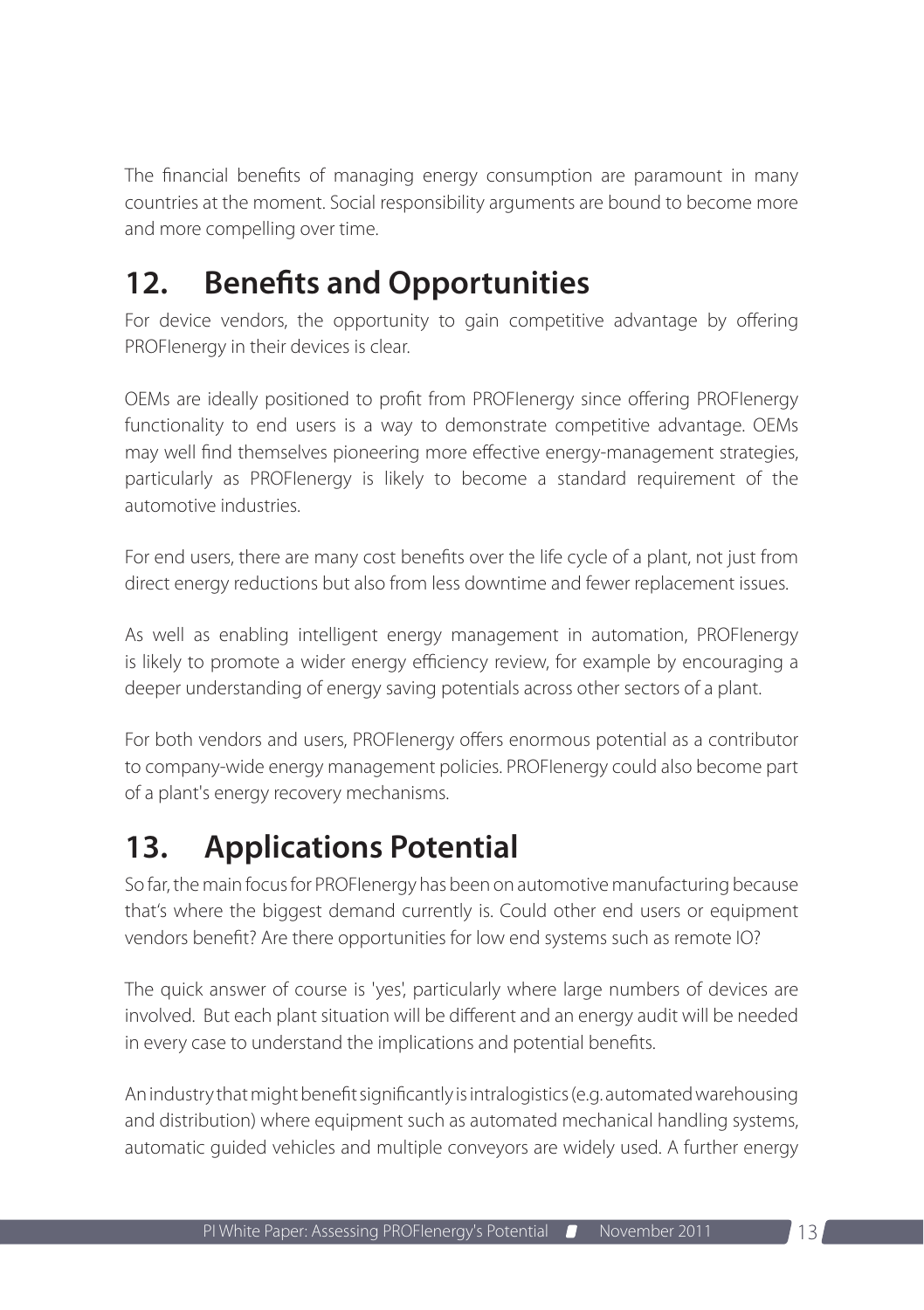<span id="page-12-0"></span>The financial benefits of managing energy consumption are paramount in many countries at the moment. Social responsibility arguments are bound to become more and more compelling over time.

## **12. Benefits and Opportunities**

For device vendors, the opportunity to gain competitive advantage by offering PROFIenergy in their devices is clear.

OEMs are ideally positioned to profit from PROFIenergy since offering PROFIenergy functionality to end users is a way to demonstrate competitive advantage. OEMs may well find themselves pioneering more effective energy-management strategies, particularly as PROFIenergy is likely to become a standard requirement of the automotive industries.

For end users, there are many cost benefits over the life cycle of a plant, not just from direct energy reductions but also from less downtime and fewer replacement issues.

As well as enabling intelligent energy management in automation, PROFIenergy is likely to promote a wider energy efficiency review, for example by encouraging a deeper understanding of energy saving potentials across other sectors of a plant.

For both vendors and users, PROFIenergy offers enormous potential as a contributor to company-wide energy management policies. PROFIenergy could also become part of a plant's energy recovery mechanisms.

# **13. Applications Potential**

So far, the main focus for PROFIenergy has been on automotive manufacturing because that's where the biggest demand currently is. Could other end users or equipment vendors benefit? Are there opportunities for low end systems such as remote IO?

The quick answer of course is 'yes', particularly where large numbers of devices are involved. But each plant situation will be different and an energy audit will be needed in every case to understand the implications and potential benefits.

An industry that might benefit significantly is intralogistics (e.g. automated warehousing and distribution) where equipment such as automated mechanical handling systems, automatic guided vehicles and multiple conveyors are widely used. A further energy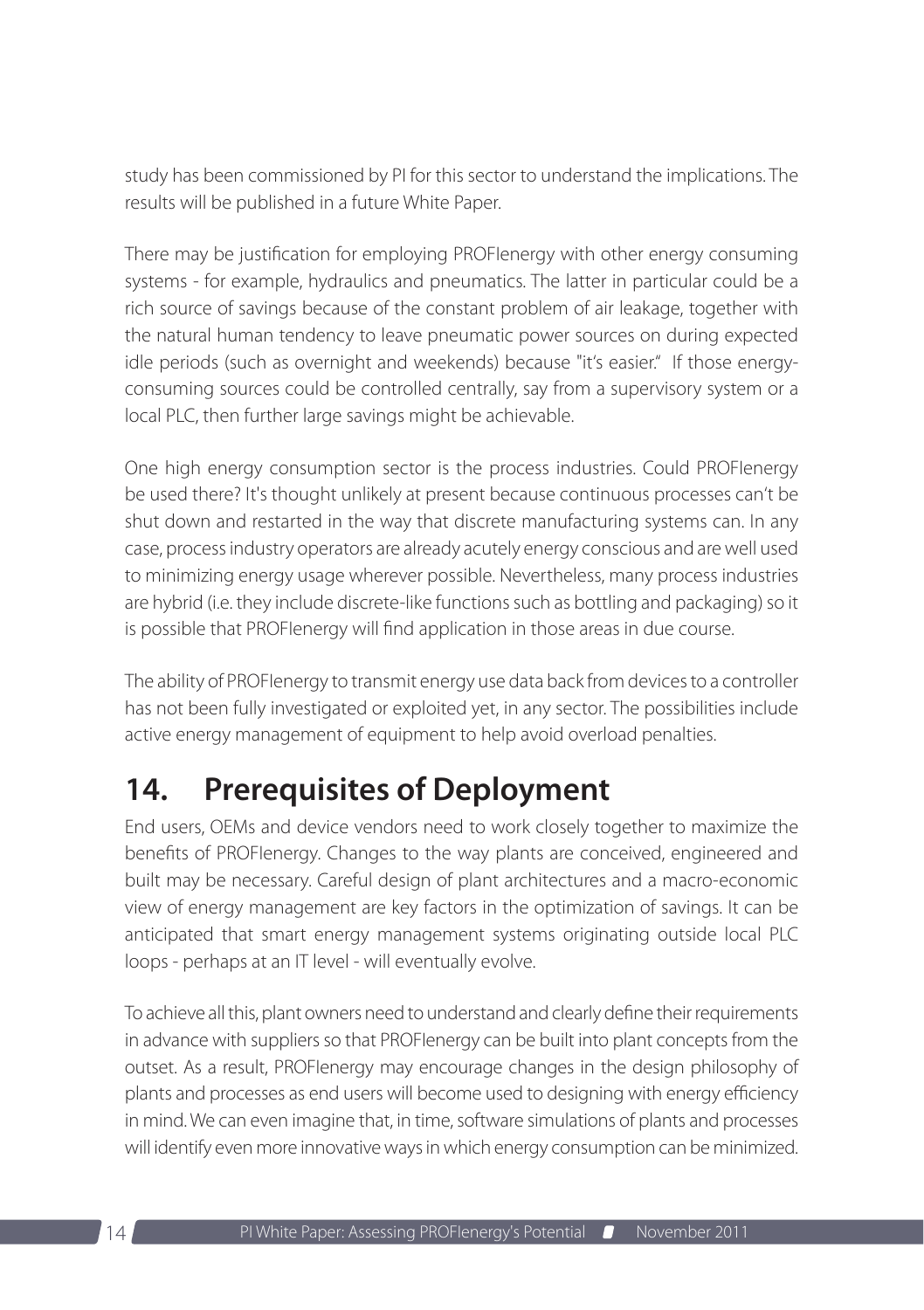<span id="page-13-0"></span>study has been commissioned by PI for this sector to understand the implications. The results will be published in a future White Paper.

There may be justification for employing PROFIenergy with other energy consuming systems - for example, hydraulics and pneumatics. The latter in particular could be a rich source of savings because of the constant problem of air leakage, together with the natural human tendency to leave pneumatic power sources on during expected idle periods (such as overnight and weekends) because "it's easier." If those energyconsuming sources could be controlled centrally, say from a supervisory system or a local PLC, then further large savings might be achievable.

One high energy consumption sector is the process industries. Could PROFIenergy be used there? It's thought unlikely at present because continuous processes can't be shut down and restarted in the way that discrete manufacturing systems can. In any case, process industry operators are already acutely energy conscious and are well used to minimizing energy usage wherever possible. Nevertheless, many process industries are hybrid (i.e. they include discrete-like functions such as bottling and packaging) so it is possible that PROFIenergy will find application in those areas in due course.

The ability of PROFIenergy to transmit energy use data back from devices to a controller has not been fully investigated or exploited yet, in any sector. The possibilities include active energy management of equipment to help avoid overload penalties.

# **14. Prerequisites of Deployment**

End users, OEMs and device vendors need to work closely together to maximize the benefits of PROFIenergy. Changes to the way plants are conceived, engineered and built may be necessary. Careful design of plant architectures and a macro-economic view of energy management are key factors in the optimization of savings. It can be anticipated that smart energy management systems originating outside local PLC loops - perhaps at an IT level - will eventually evolve.

To achieve all this, plant owners need to understand and clearly define their requirements in advance with suppliers so that PROFIenergy can be built into plant concepts from the outset. As a result, PROFIenergy may encourage changes in the design philosophy of plants and processes as end users will become used to designing with energy efficiency in mind. We can even imagine that, in time, software simulations of plants and processes will identify even more innovative ways in which energy consumption can be minimized.